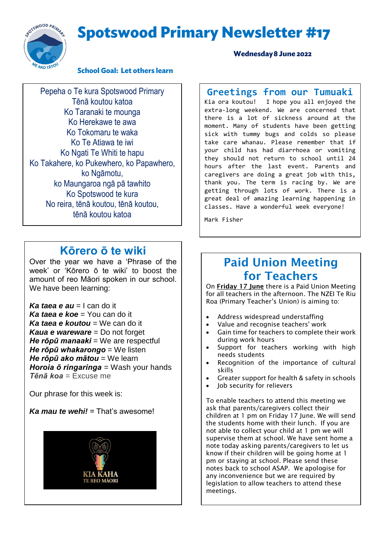# **Spotswood Primary Newsletter #17**



#### **School Goal: Let others learn**

Pepeha o Te kura Spotswood Primary Tēnā koutou katoa Ko Taranaki te mounga Ko Herekawe te awa Ko Tokomaru te waka Ko Te Atiawa te iwi Ko Ngati Te Whiti te hapu Ko Takahere, ko Pukewhero, ko Papawhero, ko Ngāmotu, ko Maungaroa ngā pā tawhito Ko Spotswood te kura No reira, tēnā koutou, tēnā koutou, tēnā koutou katoa

### **Kōrero ō te wiki**

Over the year we have a 'Phrase of the week' or 'Kōrero ō te wiki' to boost the amount of reo Māori spoken in our school. We have been learning:

*Ka taea e au* = I can do it *Ka taea e koe* = You can do it *Ka taea e koutou* = We can do it *Kaua e wareware* = Do not forget *He rōpū manaaki* = We are respectful *He rōpū whakarongo* = We listen *He rōpū ako mātou* = We learn *Horoia ō ringaringa* = Wash your hands *Tēnā koa* = Excuse me

Our phrase for this week is:

#### *Ka mau te wehi!* = That's awesome!



#### **Wednesday 8 June 2022**

# **Greetings from our Tumuaki**<br>Kia ora koutou! I hope you all enjoyed the

I hope you all enjoyed the extra-long weekend. We are concerned that there is a lot of sickness around at the moment. Many of students have been getting sick with tummy bugs and colds so please take care whanau. Please remember that if your child has had diarrhoea or vomiting they should not return to school until 24 hours after the last event. Parents and caregivers are doing a great job with this, thank you. The term is racing by. We are getting through lots of work. There is a great deal of amazing learning happening in classes. Have a wonderful week everyone!

Mark Fisher

### Paid Union Meeting for Teachers

On Friday 17 June there is a Paid Union Meeting for all teachers in the afternoon. The NZEI Te Riu Roa (Primary Teacher's Union) is aiming to:

- Address widespread understaffing
- Value and recognise teachers' work
- Gain time for teachers to complete their work during work hours
- Support for teachers working with high needs students
- Recognition of the importance of cultural skills
- Greater support for health & safety in schools
- Job security for relievers

To enable teachers to attend this meeting we ask that parents/caregivers collect their children at 1 pm on Friday 17 June. We will send the students home with their lunch. If you are not able to collect your child at 1 pm we will supervise them at school. We have sent home a note today asking parents/caregivers to let us know if their children will be going home at 1 pm or staying at school. Please send these notes back to school ASAP. We apologise for any inconvenience but we are required by legislation to allow teachers to attend these meetings.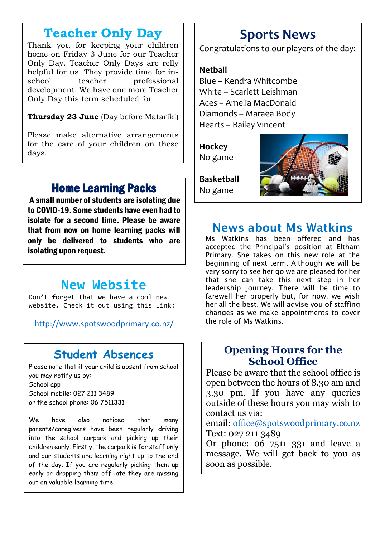### **Teacher Only Day**

Thank you for keeping your children home on Friday 3 June for our Teacher Only Day. Teacher Only Days are relly helpful for us. They provide time for inschool teacher professional development. We have one more Teacher Only Day this term scheduled for:

**Thursday 23 June** (Day before Matariki)

Please make alternative arrangements for the care of your children on these days.

# Home Learning Packs

A small number of students are isolating due to COVID-19. Some students have even had to isolate for a second time. Please be aware that from now on home learning packs will only be delivered to students who are isolating upon request.

# **New Website**

Don't forget that we have a cool new website. Check it out using this link:

<http://www.spotswoodprimary.co.nz/>

## **Student Absences**

Please note that if your child is absent from school you may notify us by: School app School mobile: 027 211 3489 or the school phone: 06 7511331

We have also noticed that many parents/caregivers have been regularly driving into the school carpark and picking up their children early. Firstly, the carpark is for staff only and our students are learning right up to the end of the day. If you are regularly picking them up early or dropping them off late they are missing out on valuable learning time.

# **Sports News**

Congratulations to our players of the day:

#### **Netball**

Blue – Kendra Whitcombe White – Scarlett Leishman Aces – Amelia MacDonald Diamonds – Maraea Body Hearts – Bailey Vincent

**Hockey** No game



**Basketball** No game

## News about Ms Watkins

Ms Watkins has been offered and has accepted the Principal's position at Eltham Primary. She takes on this new role at the beginning of next term. Although we will be very sorry to see her go we are pleased for her that she can take this next step in her leadership journey. There will be time to farewell her properly but, for now, we wish her all the best. We will advise you of staffing changes as we make appointments to cover the role of Ms Watkins.

### **Opening Hours for the School Office**

Please be aware that the school office is open between the hours of 8.30 am and 3.30 pm. If you have any queries outside of these hours you may wish to contact us via:

email: [office@spotswoodprimary.co.nz](mailto:office@spotswoodprimary.co.nz) Text: 027 211 3489

Or phone: 06 7511 331 and leave a message. We will get back to you as soon as possible.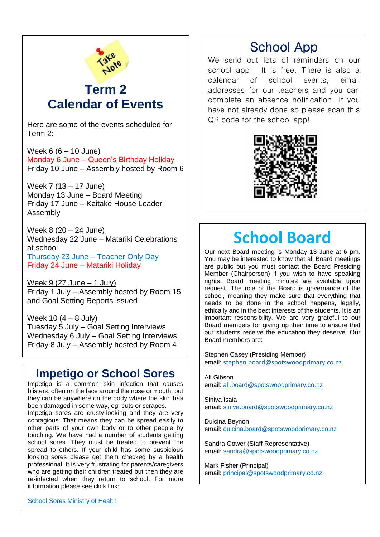

### **Term 2 Calendar of Events**

Here are some of the events scheduled for Term 2:

Week  $6(6 - 10$  June) Monday 6 June – Queen's Birthday Holiday Friday 10 June – Assembly hosted by Room 6

Week 7 (13 – 17 June) Monday 13 June – Board Meeting Friday 17 June – Kaitake House Leader Assembly

Week 8 (20 – 24 June) Wednesday 22 June – Matariki Celebrations at school Thursday 23 June – Teacher Only Day Friday 24 June – Matariki Holiday

Week  $9(27 \text{ June} - 1 \text{ July})$ Friday 1 July – Assembly hosted by Room 15 and Goal Setting Reports issued

Week 10  $(4 - 8$  July) Tuesday 5 July – Goal Setting Interviews Wednesday 6 July – Goal Setting Interviews Friday 8 July – Assembly hosted by Room 4

### **Impetigo or School Sores**

Impetigo is a common skin infection that causes blisters, often on the face around the nose or mouth, but they can be anywhere on the body where the skin has been damaged in some way, eg. cuts or scrapes.

Impetigo sores are crusty-looking and they are very contagious. That means they can be spread easily to other parts of your own body or to other people by touching. We have had a number of students getting school sores. They must be treated to prevent the spread to others. If your child has some suspicious looking sores please get them checked by a health professional. It is very frustrating for parents/caregivers who are getting their children treated but then they are re-infected when they return to school. For more information please see click link:

## School App

We send out lots of reminders on our school app. It is free. There is also a calendar of school events, email addresses for our teachers and you can complete an absence notification. If you have not already done so please scan this QR code for the school app!



# **School Board**

Our next Board meeting is Monday 13 June at 6 pm. You may be interested to know that all Board meetings are public but you must contact the Board Presiding Member (Chairperson) if you wish to have speaking rights. Board meeting minutes are available upon request. The role of the Board is governance of the school, meaning they make sure that everything that needs to be done in the school happens, legally, ethically and in the best interests of the students. It is an important responsibility. We are very grateful to our Board members for giving up their time to ensure that our students receive the education they deserve. Our Board members are:

Stephen Casey (Presiding Member) email: [stephen.board@spotswoodprimary.co.nz](mailto:stephen.board@spotswoodprimary.co.nz)

Ali Gibson email: [ali.board@spotswoodprimary.co.nz](mailto:ali.board@spotswoodprimary.co.nz)

Siniva Isaia email: [siniva.board@spotswoodprimary.co.nz](mailto:siniva.board@spotswoodprimary.co.nz)

Dulcina Beynon email: [dulcina.board@spotswoodprimary.co.nz](mailto:dulcina.board@spotswoodprimary.co.nz)

Sandra Gower (Staff Representative) email: [sandra@spotswoodprimary.co.nz](mailto:sandra@spotswoodprimary.co.nz)

Mark Fisher (Principal) email: [principal@spotswoodprimary.co.nz](mailto:principal@spotswoodprimary.co.nz)

[School Sores Ministry of Health](https://www.health.govt.nz/your-health/conditions-and-treatments/diseases-and-illnesses/impetigo-school-sores)